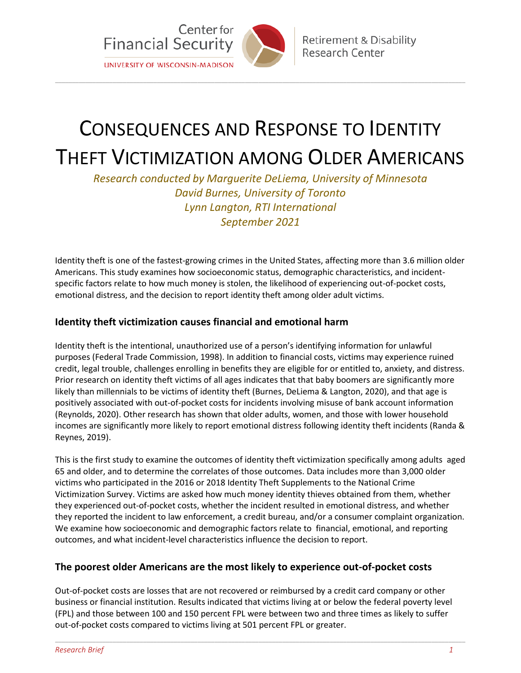

# CONSEQUENCES AND RESPONSE TO IDENTITY

\_\_\_\_\_\_\_\_\_\_\_\_\_\_\_\_\_\_\_\_\_\_\_\_\_\_\_\_\_\_\_\_\_\_\_\_\_\_\_\_\_\_\_\_\_\_\_\_\_\_\_\_\_\_\_\_\_\_\_\_\_\_\_\_\_\_\_\_\_\_\_\_\_\_\_\_\_\_\_\_\_\_\_\_\_\_\_\_\_\_\_\_\_\_\_\_\_\_\_\_\_\_\_\_\_\_\_\_\_\_\_\_\_\_\_\_\_\_\_\_\_

## THEFT VICTIMIZATION AMONG OLDER AMERICANS

*Research conducted by Marguerite DeLiema, University of Minnesota David Burnes, University of Toronto Lynn Langton, RTI International September 2021*

Identity theft is one of the fastest-growing crimes in the United States, affecting more than 3.6 million older Americans. This study examines how socioeconomic status, demographic characteristics, and incidentspecific factors relate to how much money is stolen, the likelihood of experiencing out-of-pocket costs, emotional distress, and the decision to report identity theft among older adult victims.

#### **Identity theft victimization causes financial and emotional harm**

Identity theft is the intentional, unauthorized use of a person's identifying information for unlawful purposes (Federal Trade Commission, 1998). In addition to financial costs, victims may experience ruined credit, legal trouble, challenges enrolling in benefits they are eligible for or entitled to, anxiety, and distress. Prior research on identity theft victims of all ages indicates that that baby boomers are significantly more likely than millennials to be victims of identity theft (Burnes, DeLiema & Langton, 2020), and that age is positively associated with out-of-pocket costs for incidents involving misuse of bank account information (Reynolds, 2020). Other research has shown that older adults, women, and those with lower household incomes are significantly more likely to report emotional distress following identity theft incidents (Randa & Reynes, 2019).

This is the first study to examine the outcomes of identity theft victimization specifically among adults aged 65 and older, and to determine the correlates of those outcomes. Data includes more than 3,000 older victims who participated in the 2016 or 2018 Identity Theft Supplements to the National Crime Victimization Survey. Victims are asked how much money identity thieves obtained from them, whether they experienced out-of-pocket costs, whether the incident resulted in emotional distress, and whether they reported the incident to law enforcement, a credit bureau, and/or a consumer complaint organization. We examine how socioeconomic and demographic factors relate to financial, emotional, and reporting outcomes, and what incident-level characteristics influence the decision to report.

#### **The poorest older Americans are the most likely to experience out-of-pocket costs**

Out-of-pocket costs are losses that are not recovered or reimbursed by a credit card company or other business or financial institution. Results indicated that victims living at or below the federal poverty level (FPL) and those between 100 and 150 percent FPL were between two and three times as likely to suffer out-of-pocket costs compared to victims living at 501 percent FPL or greater.

\_\_\_\_\_\_\_\_\_\_\_\_\_\_\_\_\_\_\_\_\_\_\_\_\_\_\_\_\_\_\_\_\_\_\_\_\_\_\_\_\_\_\_\_\_\_\_\_\_\_\_\_\_\_\_\_\_\_\_\_\_\_\_\_\_\_\_\_\_\_\_\_\_\_\_\_\_\_\_\_\_\_\_\_\_\_\_\_\_\_\_\_\_\_\_\_\_\_\_\_\_\_\_\_\_\_\_\_\_\_\_\_\_\_\_\_\_\_\_\_\_